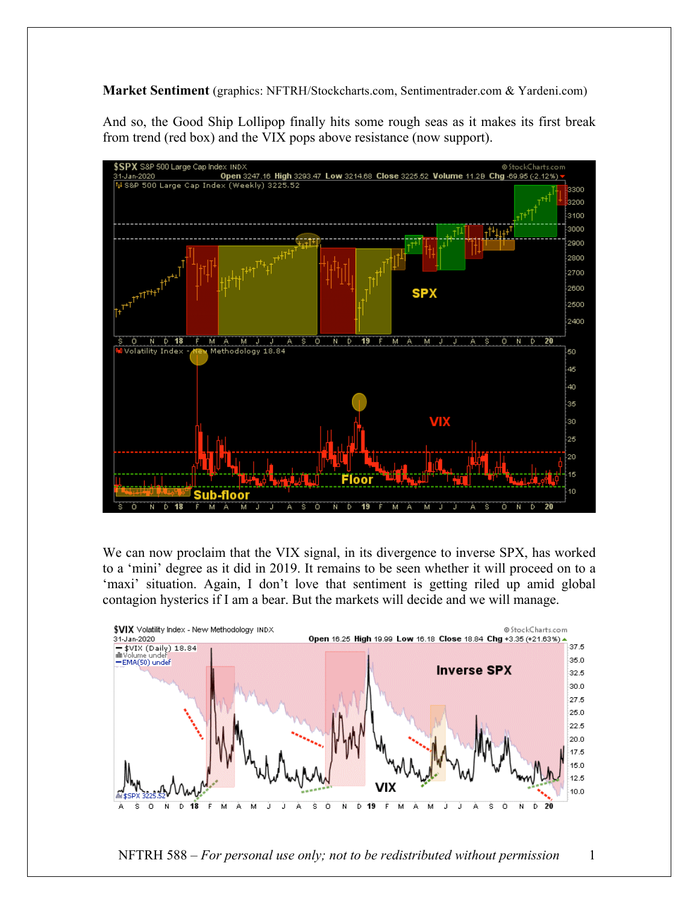**Market Sentiment** (graphics: NFTRH/Stockcharts.com, Sentimentrader.com & Yardeni.com)

And so, the Good Ship Lollipop finally hits some rough seas as it makes its first break from trend (red box) and the VIX pops above resistance (now support).



We can now proclaim that the VIX signal, in its divergence to inverse SPX, has worked to a 'mini' degree as it did in 2019. It remains to be seen whether it will proceed on to a 'maxi' situation. Again, I don't love that sentiment is getting riled up amid global contagion hysterics if I am a bear. But the markets will decide and we will manage.



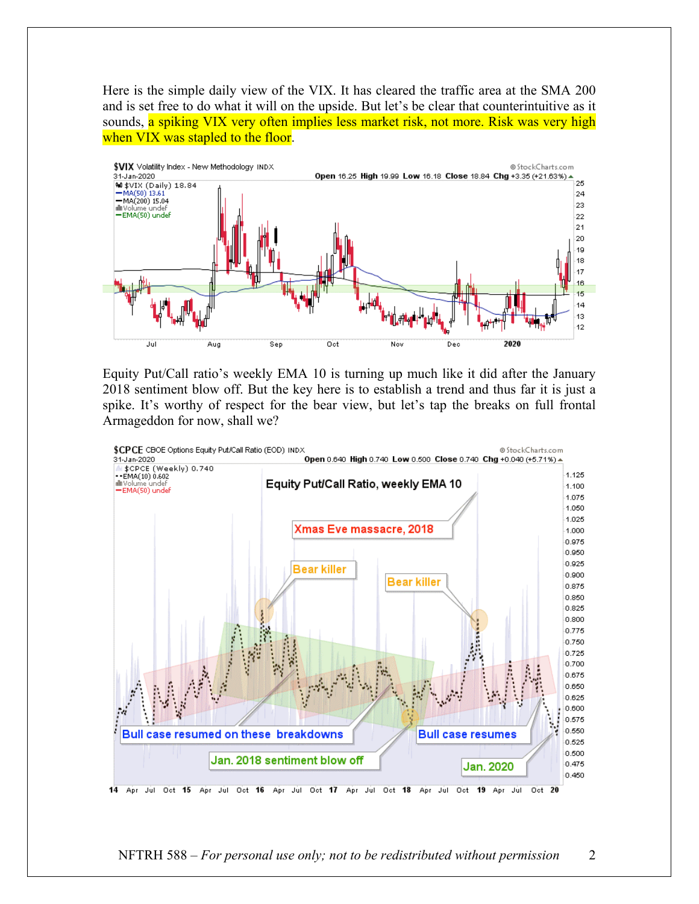Here is the simple daily view of the VIX. It has cleared the traffic area at the SMA 200 and is set free to do what it will on the upside. But let's be clear that counterintuitive as it sounds, a spiking VIX very often implies less market risk, not more. Risk was very high when VIX was stapled to the floor.



Equity Put/Call ratio's weekly EMA 10 is turning up much like it did after the January 2018 sentiment blow off. But the key here is to establish a trend and thus far it is just a spike. It's worthy of respect for the bear view, but let's tap the breaks on full frontal Armageddon for now, shall we?

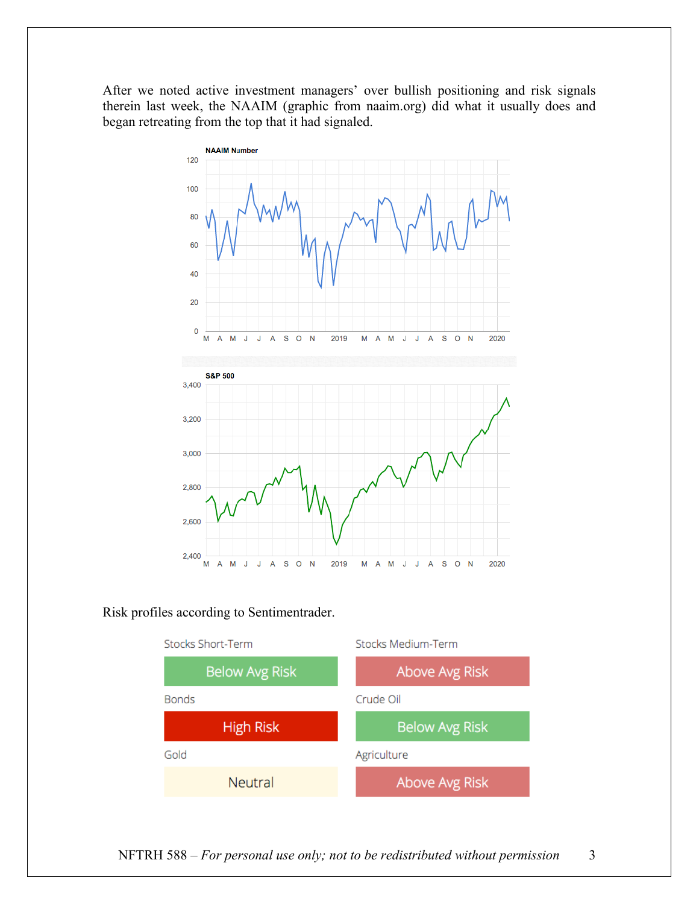After we noted active investment managers' over bullish positioning and risk signals therein last week, the NAAIM (graphic from naaim.org) did what it usually does and began retreating from the top that it had signaled.



Risk profiles according to Sentimentrader.



NFTRH 588 – *For personal use only; not to be redistributed without permission* 3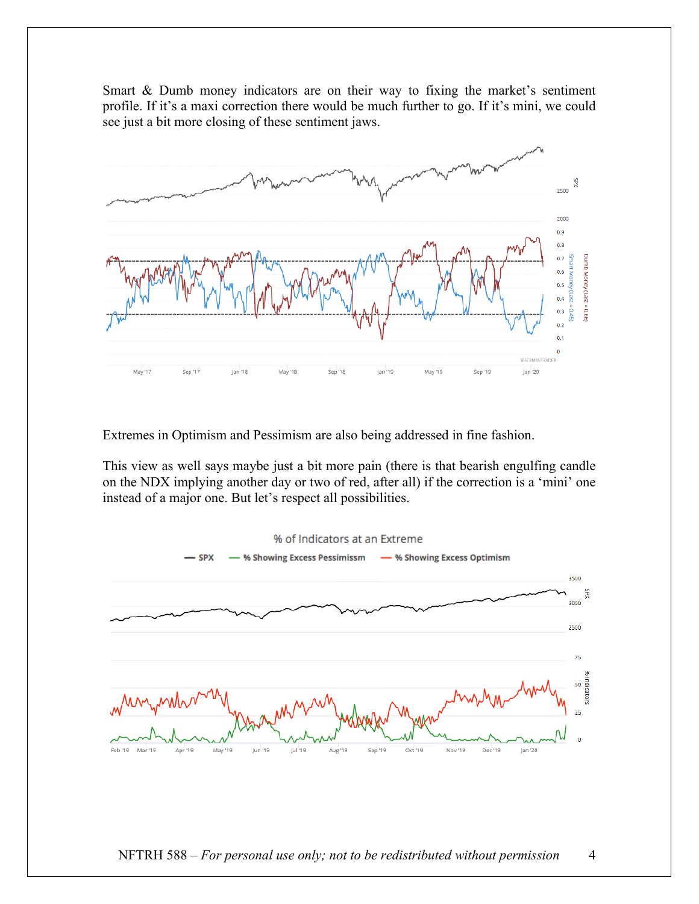Smart & Dumb money indicators are on their way to fixing the market's sentiment profile. If it's a maxi correction there would be much further to go. If it's mini, we could see just a bit more closing of these sentiment jaws.



Extremes in Optimism and Pessimism are also being addressed in fine fashion.

This view as well says maybe just a bit more pain (there is that bearish engulfing candle on the NDX implying another day or two of red, after all) if the correction is a 'mini' one instead of a major one. But let's respect all possibilities.